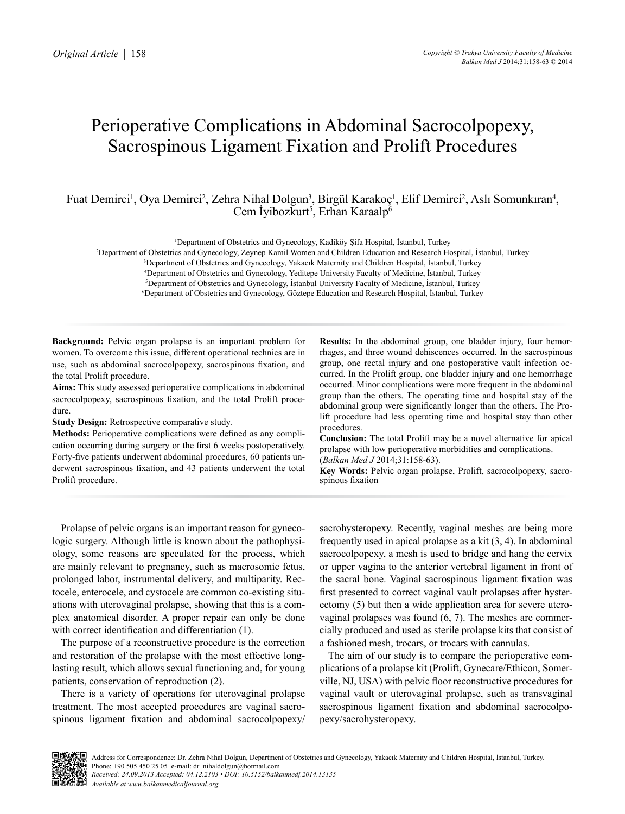# Perioperative Complications in Abdominal Sacrocolpopexy, Sacrospinous Ligament Fixation and Prolift Procedures

# Fuat Demirci<sup>1</sup>, Oya Demirci<sup>2</sup>, Zehra Nihal Dolgun<sup>3</sup>, Birgül Karakoç<sup>1</sup>, Elif Demirci<sup>2</sup>, Aslı Somunkıran<sup>4</sup>, Cem İyibozkurt<sup>5</sup>, Erhan Karaalp<sup>6</sup>

1 Department of Obstetrics and Gynecology, Kadiköy Şifa Hospital, İstanbul, Turkey

2 Department of Obstetrics and Gynecology, Zeynep Kamil Women and Children Education and Research Hospital, İstanbul, Turkey

3 Department of Obstetrics and Gynecology, Yakacık Maternity and Children Hospital, İstanbul, Turkey

4 Department of Obstetrics and Gynecology, Yeditepe University Faculty of Medicine, İstanbul, Turkey

5 Department of Obstetrics and Gynecology, İstanbul University Faculty of Medicine, İstanbul, Turkey

6 Department of Obstetrics and Gynecology, Göztepe Education and Research Hospital, İstanbul, Turkey

**Background:** Pelvic organ prolapse is an important problem for women. To overcome this issue, different operational technics are in use, such as abdominal sacrocolpopexy, sacrospinous fixation, and the total Prolift procedure.

**Aims:** This study assessed perioperative complications in abdominal sacrocolpopexy, sacrospinous fixation, and the total Prolift procedure.

**Study Design:** Retrospective comparative study.

**Methods:** Perioperative complications were defined as any complication occurring during surgery or the first 6 weeks postoperatively. Forty-five patients underwent abdominal procedures, 60 patients underwent sacrospinous fixation, and 43 patients underwent the total Prolift procedure.

**Results:** In the abdominal group, one bladder injury, four hemorrhages, and three wound dehiscences occurred. In the sacrospinous group, one rectal injury and one postoperative vault infection occurred. In the Prolift group, one bladder injury and one hemorrhage occurred. Minor complications were more frequent in the abdominal group than the others. The operating time and hospital stay of the abdominal group were significantly longer than the others. The Prolift procedure had less operating time and hospital stay than other procedures.

**Conclusion:** The total Prolift may be a novel alternative for apical prolapse with low perioperative morbidities and complications.

(*Balkan Med J* 2014;31:158-63).

**Key Words:** Pelvic organ prolapse, Prolift, sacrocolpopexy, sacrospinous fixation

Prolapse of pelvic organs is an important reason for gynecologic surgery. Although little is known about the pathophysiology, some reasons are speculated for the process, which are mainly relevant to pregnancy, such as macrosomic fetus, prolonged labor, instrumental delivery, and multiparity. Rectocele, enterocele, and cystocele are common co-existing situations with uterovaginal prolapse, showing that this is a complex anatomical disorder. A proper repair can only be done with correct identification and differentiation (1).

The purpose of a reconstructive procedure is the correction and restoration of the prolapse with the most effective longlasting result, which allows sexual functioning and, for young patients, conservation of reproduction (2).

There is a variety of operations for uterovaginal prolapse treatment. The most accepted procedures are vaginal sacrospinous ligament fixation and abdominal sacrocolpopexy/

sacrohysteropexy. Recently, vaginal meshes are being more frequently used in apical prolapse as a kit (3, 4). In abdominal sacrocolpopexy, a mesh is used to bridge and hang the cervix or upper vagina to the anterior vertebral ligament in front of the sacral bone. Vaginal sacrospinous ligament fixation was first presented to correct vaginal vault prolapses after hysterectomy (5) but then a wide application area for severe uterovaginal prolapses was found (6, 7). The meshes are commercially produced and used as sterile prolapse kits that consist of a fashioned mesh, trocars, or trocars with cannulas.

The aim of our study is to compare the perioperative complications of a prolapse kit (Prolift, Gynecare/Ethicon, Somerville, NJ, USA) with pelvic floor reconstructive procedures for vaginal vault or uterovaginal prolapse, such as transvaginal sacrospinous ligament fixation and abdominal sacrocolpopexy/sacrohysteropexy.

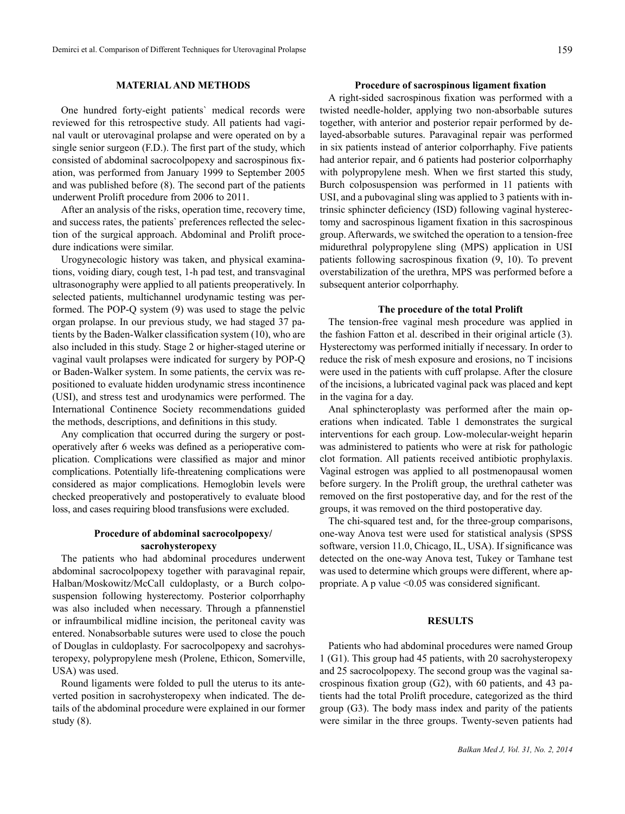# **MATERIAL AND METHODS**

One hundred forty-eight patients` medical records were reviewed for this retrospective study. All patients had vaginal vault or uterovaginal prolapse and were operated on by a single senior surgeon (F.D.). The first part of the study, which consisted of abdominal sacrocolpopexy and sacrospinous fixation, was performed from January 1999 to September 2005 and was published before (8). The second part of the patients underwent Prolift procedure from 2006 to 2011.

After an analysis of the risks, operation time, recovery time, and success rates, the patients` preferences reflected the selection of the surgical approach. Abdominal and Prolift procedure indications were similar.

Urogynecologic history was taken, and physical examinations, voiding diary, cough test, 1-h pad test, and transvaginal ultrasonography were applied to all patients preoperatively. In selected patients, multichannel urodynamic testing was performed. The POP-Q system (9) was used to stage the pelvic organ prolapse. In our previous study, we had staged 37 patients by the Baden-Walker classification system (10), who are also included in this study. Stage 2 or higher-staged uterine or vaginal vault prolapses were indicated for surgery by POP-Q or Baden-Walker system. In some patients, the cervix was repositioned to evaluate hidden urodynamic stress incontinence (USI), and stress test and urodynamics were performed. The International Continence Society recommendations guided the methods, descriptions, and definitions in this study.

Any complication that occurred during the surgery or postoperatively after 6 weeks was defined as a perioperative complication. Complications were classified as major and minor complications. Potentially life-threatening complications were considered as major complications. Hemoglobin levels were checked preoperatively and postoperatively to evaluate blood loss, and cases requiring blood transfusions were excluded.

# **Procedure of abdominal sacrocolpopexy/ sacrohysteropexy**

The patients who had abdominal procedures underwent abdominal sacrocolpopexy together with paravaginal repair, Halban/Moskowitz/McCall culdoplasty, or a Burch colposuspension following hysterectomy. Posterior colporrhaphy was also included when necessary. Through a pfannenstiel or infraumbilical midline incision, the peritoneal cavity was entered. Nonabsorbable sutures were used to close the pouch of Douglas in culdoplasty. For sacrocolpopexy and sacrohysteropexy, polypropylene mesh (Prolene, Ethicon, Somerville, USA) was used.

Round ligaments were folded to pull the uterus to its anteverted position in sacrohysteropexy when indicated. The details of the abdominal procedure were explained in our former study (8).

# **Procedure of sacrospinous ligament fixation**

A right-sided sacrospinous fixation was performed with a twisted needle-holder, applying two non-absorbable sutures together, with anterior and posterior repair performed by delayed-absorbable sutures. Paravaginal repair was performed in six patients instead of anterior colporrhaphy. Five patients had anterior repair, and 6 patients had posterior colporrhaphy with polypropylene mesh. When we first started this study, Burch colposuspension was performed in 11 patients with USI, and a pubovaginal sling was applied to 3 patients with intrinsic sphincter deficiency (ISD) following vaginal hysterectomy and sacrospinous ligament fixation in this sacrospinous group. Afterwards, we switched the operation to a tension-free midurethral polypropylene sling (MPS) application in USI patients following sacrospinous fixation (9, 10). To prevent overstabilization of the urethra, MPS was performed before a subsequent anterior colporrhaphy.

#### **The procedure of the total Prolift**

The tension-free vaginal mesh procedure was applied in the fashion Fatton et al. described in their original article (3). Hysterectomy was performed initially if necessary. In order to reduce the risk of mesh exposure and erosions, no T incisions were used in the patients with cuff prolapse. After the closure of the incisions, a lubricated vaginal pack was placed and kept in the vagina for a day.

Anal sphincteroplasty was performed after the main operations when indicated. Table 1 demonstrates the surgical interventions for each group. Low-molecular-weight heparin was administered to patients who were at risk for pathologic clot formation. All patients received antibiotic prophylaxis. Vaginal estrogen was applied to all postmenopausal women before surgery. In the Prolift group, the urethral catheter was removed on the first postoperative day, and for the rest of the groups, it was removed on the third postoperative day.

The chi-squared test and, for the three-group comparisons, one-way Anova test were used for statistical analysis (SPSS software, version 11.0, Chicago, IL, USA). If significance was detected on the one-way Anova test, Tukey or Tamhane test was used to determine which groups were different, where appropriate. A p value <0.05 was considered significant.

# **RESULTS**

Patients who had abdominal procedures were named Group 1 (G1). This group had 45 patients, with 20 sacrohysteropexy and 25 sacrocolpopexy. The second group was the vaginal sacrospinous fixation group (G2), with 60 patients, and 43 patients had the total Prolift procedure, categorized as the third group (G3). The body mass index and parity of the patients were similar in the three groups. Twenty-seven patients had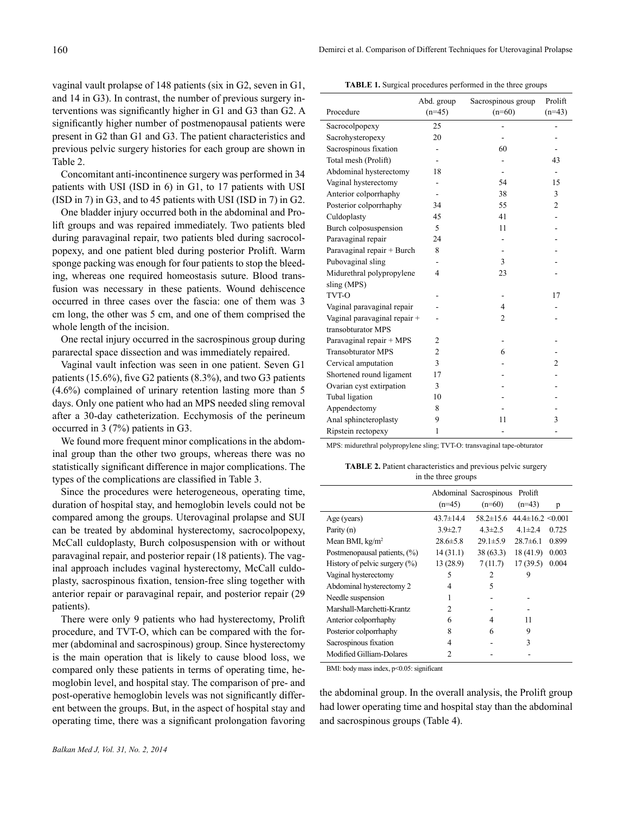vaginal vault prolapse of 148 patients (six in G2, seven in G1, and 14 in G3). In contrast, the number of previous surgery interventions was significantly higher in G1 and G3 than G2. A significantly higher number of postmenopausal patients were present in G2 than G1 and G3. The patient characteristics and previous pelvic surgery histories for each group are shown in Table 2.

Concomitant anti-incontinence surgery was performed in 34 patients with USI (ISD in 6) in G1, to 17 patients with USI (ISD in 7) in G3, and to 45 patients with USI (ISD in 7) in G2.

One bladder injury occurred both in the abdominal and Prolift groups and was repaired immediately. Two patients bled during paravaginal repair, two patients bled during sacrocolpopexy, and one patient bled during posterior Prolift. Warm sponge packing was enough for four patients to stop the bleeding, whereas one required homeostasis suture. Blood transfusion was necessary in these patients. Wound dehiscence occurred in three cases over the fascia: one of them was 3 cm long, the other was 5 cm, and one of them comprised the whole length of the incision.

One rectal injury occurred in the sacrospinous group during pararectal space dissection and was immediately repaired.

Vaginal vault infection was seen in one patient. Seven G1 patients (15.6%), five G2 patients (8.3%), and two G3 patients (4.6%) complained of urinary retention lasting more than 5 days. Only one patient who had an MPS needed sling removal after a 30-day catheterization. Ecchymosis of the perineum occurred in 3 (7%) patients in G3.

We found more frequent minor complications in the abdominal group than the other two groups, whereas there was no statistically significant difference in major complications. The types of the complications are classified in Table 3.

Since the procedures were heterogeneous, operating time, duration of hospital stay, and hemoglobin levels could not be compared among the groups. Uterovaginal prolapse and SUI can be treated by abdominal hysterectomy, sacrocolpopexy, McCall culdoplasty, Burch colposuspension with or without paravaginal repair, and posterior repair (18 patients). The vaginal approach includes vaginal hysterectomy, McCall culdoplasty, sacrospinous fixation, tension-free sling together with anterior repair or paravaginal repair, and posterior repair (29 patients).

There were only 9 patients who had hysterectomy, Prolift procedure, and TVT-O, which can be compared with the former (abdominal and sacrospinous) group. Since hysterectomy is the main operation that is likely to cause blood loss, we compared only these patients in terms of operating time, hemoglobin level, and hospital stay. The comparison of pre- and post-operative hemoglobin levels was not significantly different between the groups. But, in the aspect of hospital stay and operating time, there was a significant prolongation favoring

| <b>TABLE 1.</b> Surgical procedures performed in the three groups |  |
|-------------------------------------------------------------------|--|
|-------------------------------------------------------------------|--|

|                              | Abd. group     | Sacrospinous group | Prolift                  |
|------------------------------|----------------|--------------------|--------------------------|
| Procedure                    | $(n=45)$       | $(n=60)$           | $(n=43)$                 |
| Sacrocolpopexy               | 25             |                    |                          |
| Sacrohysteropexy             | 20             |                    |                          |
| Sacrospinous fixation        |                | 60                 |                          |
| Total mesh (Prolift)         |                |                    | 43                       |
| Abdominal hysterectomy       | 18             |                    | $\overline{\phantom{a}}$ |
| Vaginal hysterectomy         |                | 54                 | 15                       |
| Anterior colporrhaphy        |                | 38                 | 3                        |
| Posterior colporrhaphy       | 34             | 55                 | $\overline{c}$           |
| Culdoplasty                  | 45             | 41                 |                          |
| Burch colposuspension        | 5              | 11                 |                          |
| Paravaginal repair           | 24             |                    |                          |
| Paravaginal repair + Burch   | 8              |                    |                          |
| Pubovaginal sling            |                | 3                  |                          |
| Midurethral polypropylene    | $\overline{4}$ | 23                 |                          |
| sling (MPS)                  |                |                    |                          |
| TVT-O                        |                |                    | 17                       |
| Vaginal paravaginal repair   |                | 4                  |                          |
| Vaginal paravaginal repair + |                | $\overline{2}$     |                          |
| transobturator MPS           |                |                    |                          |
| Paravaginal repair + MPS     | 2              |                    |                          |
| <b>Transobturator MPS</b>    | $\overline{c}$ | 6                  |                          |
| Cervical amputation          | 3              |                    | 2                        |
| Shortened round ligament     | 17             |                    |                          |
| Ovarian cyst extirpation     | 3              |                    |                          |
| Tubal ligation               | 10             |                    |                          |
| Appendectomy                 | 8              |                    |                          |
| Anal sphincteroplasty        | 9              | 11                 | 3                        |
| Ripstein rectopexy           | 1              |                    |                          |

MPS: midurethral polypropylene sling; TVT-O: transvaginal tape-obturator

|  | <b>TABLE 2.</b> Patient characteristics and previous pelvic surgery |  |  |
|--|---------------------------------------------------------------------|--|--|
|  | in the three groups                                                 |  |  |

|                                  |                 | Abdominal Sacrospinous | Prolift                   |       |
|----------------------------------|-----------------|------------------------|---------------------------|-------|
|                                  | $(n=45)$        | $(n=60)$               | $(n=43)$                  | p     |
| Age (years)                      | $43.7 \pm 14.4$ | $58.2 \pm 15.6$        | $44.4 \pm 16.2 \le 0.001$ |       |
| Parity (n)                       | $3.9 \pm 2.7$   | $4.3 \pm 2.5$          | 4 1 $\pm$ 2.4             | 0.725 |
| Mean BMI, $kg/m2$                | $28.6 \pm 5.8$  | $29.1 \pm 5.9$         | $28.7\pm 6.1$             | 0.899 |
| Postmenopausal patients, (%)     | 14(31.1)        | 38(63.3)               | 18 (41.9)                 | 0.003 |
| History of pelvic surgery $(\%)$ | 13 (28.9)       | 7(11.7)                | 17(39.5)                  | 0.004 |
| Vaginal hysterectomy             | 5               | 2                      | 9                         |       |
| Abdominal hysterectomy 2         | 4               | 5                      |                           |       |
| Needle suspension                | 1               |                        |                           |       |
| Marshall-Marchetti-Krantz        | $\mathfrak{D}$  |                        |                           |       |
| Anterior colporrhaphy            | 6               | 4                      | 11                        |       |
| Posterior colporrhaphy           | 8               | 6                      | 9                         |       |
| Sacrospinous fixation            | 4               |                        | 3                         |       |
| Modified Gilliam-Dolares         | 2               |                        |                           |       |

BMI: body mass index, p<0.05: significant

the abdominal group. In the overall analysis, the Prolift group had lower operating time and hospital stay than the abdominal and sacrospinous groups (Table 4).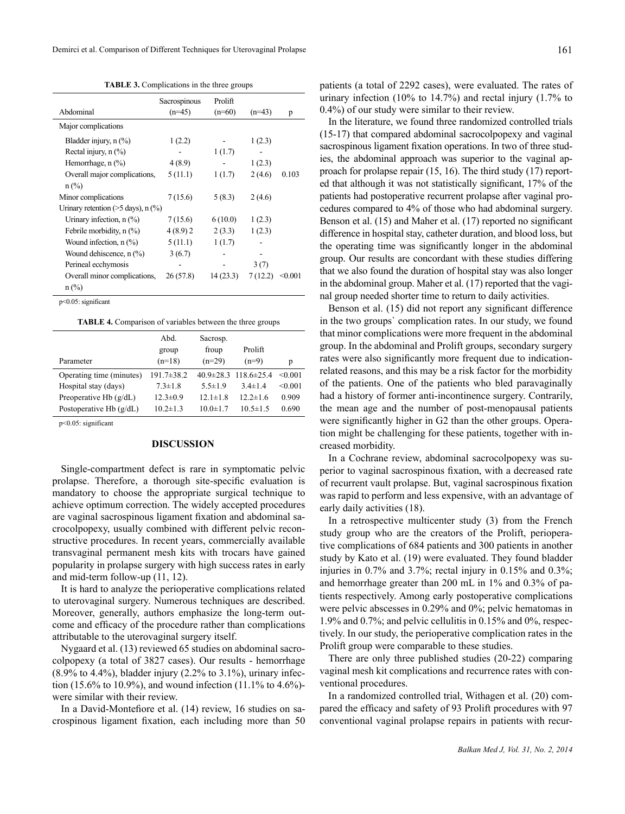**TABLE 3.** Complications in the three groups

|                                            | Sacrospinous | Prolift  |          |         |
|--------------------------------------------|--------------|----------|----------|---------|
| Abdominal                                  | $(n=45)$     | $(n=60)$ | $(n=43)$ | p       |
| Major complications                        |              |          |          |         |
| Bladder injury, n (%)                      | 1(2.2)       |          | 1(2.3)   |         |
| Rectal injury, $n$ (%)                     |              | 1(1.7)   |          |         |
| Hemorrhage, $n$ $\left(\frac{9}{6}\right)$ | 4(8.9)       |          | 1(2.3)   |         |
| Overall major complications,               | 5(11.1)      | 1(1.7)   | 2(4.6)   | 0.103   |
| $n$ (%)                                    |              |          |          |         |
| Minor complications                        | 7(15.6)      | 5(8.3)   | 2(4.6)   |         |
| Urinary retention ( $>5$ days), n (%)      |              |          |          |         |
| Urinary infection, $n$ $(\%)$              | 7(15.6)      | 6(10.0)  | 1(2.3)   |         |
| Febrile morbidity, $n$ $(\%)$              | 4(8.9)2      | 2(3.3)   | 1(2.3)   |         |
| Wound infection, $n$ $(\%)$                | 5(11.1)      | 1(1.7)   |          |         |
| Wound dehiscence, n (%)                    | 3(6.7)       |          |          |         |
| Perineal ecchymosis                        |              |          | 3(7)     |         |
| Overall minor complications,               | 26(57.8)     | 14(23.3) | 7(12.2)  | < 0.001 |
| $n$ (%)                                    |              |          |          |         |
|                                            |              |          |          |         |

p<0.05: significant

**TABLE 4.** Comparison of variables between the three groups

| froup<br>$(n=29)$<br>$(n=9)$<br>p          |
|--------------------------------------------|
| $40.9\pm 28.3$ 118.6 $\pm 25.4$<br>< 0.001 |
| < 0.001<br>$3.4 \pm 1.4$<br>$5.5 \pm 1.9$  |
| 0.909<br>$12.2 \pm 1.6$<br>$12.1 \pm 1.8$  |
| 0.690<br>$10.0 \pm 1.7$<br>$10.5 \pm 1.5$  |
|                                            |

p<0.05: significant

# **DISCUSSION**

Single-compartment defect is rare in symptomatic pelvic prolapse. Therefore, a thorough site-specific evaluation is mandatory to choose the appropriate surgical technique to achieve optimum correction. The widely accepted procedures are vaginal sacrospinous ligament fixation and abdominal sacrocolpopexy, usually combined with different pelvic reconstructive procedures. In recent years, commercially available transvaginal permanent mesh kits with trocars have gained popularity in prolapse surgery with high success rates in early and mid-term follow-up (11, 12).

It is hard to analyze the perioperative complications related to uterovaginal surgery. Numerous techniques are described. Moreover, generally, authors emphasize the long-term outcome and efficacy of the procedure rather than complications attributable to the uterovaginal surgery itself.

Nygaard et al. (13) reviewed 65 studies on abdominal sacrocolpopexy (a total of 3827 cases). Our results - hemorrhage  $(8.9\% \text{ to } 4.4\%)$ , bladder injury  $(2.2\% \text{ to } 3.1\%)$ , urinary infection (15.6% to 10.9%), and wound infection (11.1% to 4.6%) were similar with their review.

In a David-Montefiore et al. (14) review, 16 studies on sacrospinous ligament fixation, each including more than 50

patients (a total of 2292 cases), were evaluated. The rates of urinary infection (10% to 14.7%) and rectal injury (1.7% to 0.4%) of our study were similar to their review.

In the literature, we found three randomized controlled trials (15-17) that compared abdominal sacrocolpopexy and vaginal sacrospinous ligament fixation operations. In two of three studies, the abdominal approach was superior to the vaginal approach for prolapse repair (15, 16). The third study (17) reported that although it was not statistically significant, 17% of the patients had postoperative recurrent prolapse after vaginal procedures compared to 4% of those who had abdominal surgery. Benson et al. (15) and Maher et al. (17) reported no significant difference in hospital stay, catheter duration, and blood loss, but the operating time was significantly longer in the abdominal group. Our results are concordant with these studies differing that we also found the duration of hospital stay was also longer in the abdominal group. Maher et al. (17) reported that the vaginal group needed shorter time to return to daily activities.

Benson et al. (15) did not report any significant difference in the two groups` complication rates. In our study, we found that minor complications were more frequent in the abdominal group. In the abdominal and Prolift groups, secondary surgery rates were also significantly more frequent due to indicationrelated reasons, and this may be a risk factor for the morbidity of the patients. One of the patients who bled paravaginally had a history of former anti-incontinence surgery. Contrarily, the mean age and the number of post-menopausal patients were significantly higher in G2 than the other groups. Operation might be challenging for these patients, together with increased morbidity.

In a Cochrane review, abdominal sacrocolpopexy was superior to vaginal sacrospinous fixation, with a decreased rate of recurrent vault prolapse. But, vaginal sacrospinous fixation was rapid to perform and less expensive, with an advantage of early daily activities (18).

In a retrospective multicenter study (3) from the French study group who are the creators of the Prolift, perioperative complications of 684 patients and 300 patients in another study by Kato et al. (19) were evaluated. They found bladder injuries in 0.7% and 3.7%; rectal injury in 0.15% and 0.3%; and hemorrhage greater than 200 mL in 1% and 0.3% of patients respectively. Among early postoperative complications were pelvic abscesses in 0.29% and 0%; pelvic hematomas in 1.9% and 0.7%; and pelvic cellulitis in 0.15% and 0%, respectively. In our study, the perioperative complication rates in the Prolift group were comparable to these studies.

There are only three published studies (20-22) comparing vaginal mesh kit complications and recurrence rates with conventional procedures.

In a randomized controlled trial, Withagen et al. (20) compared the efficacy and safety of 93 Prolift procedures with 97 conventional vaginal prolapse repairs in patients with recur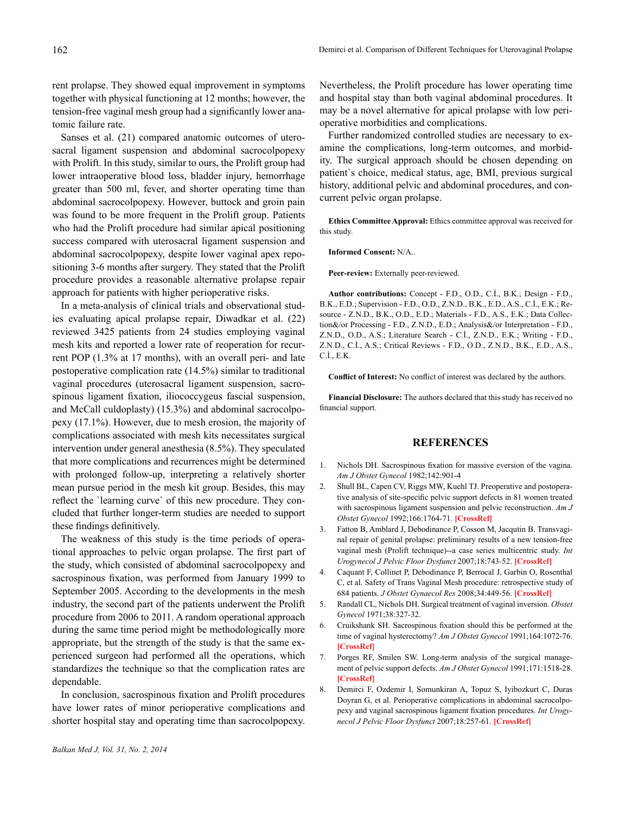rent prolapse. They showed equal improvement in symptoms together with physical functioning at 12 months; however, the tension-free vaginal mesh group had a significantly lower anatomic failure rate.

Sanses et al. (21) compared anatomic outcomes of uterosacral ligament suspension and abdominal sacrocolpopexy with Prolift. In this study, similar to ours, the Prolift group had lower intraoperative blood loss, bladder injury, hemorrhage greater than 500 ml, fever, and shorter operating time than abdominal sacrocolpopexy. However, buttock and groin pain was found to be more frequent in the Prolift group. Patients who had the Prolift procedure had similar apical positioning success compared with uterosacral ligament suspension and abdominal sacrocolpopexy, despite lower vaginal apex repositioning 3-6 months after surgery. They stated that the Prolift procedure provides a reasonable alternative prolapse repair approach for patients with higher perioperative risks.

In a meta-analysis of clinical trials and observational studies evaluating apical prolapse repair, Diwadkar et al. (22) reviewed 3425 patients from 24 studies employing vaginal mesh kits and reported a lower rate of reoperation for recurrent POP (1.3% at 17 months), with an overall peri- and late postoperative complication rate (14.5%) similar to traditional vaginal procedures (uterosacral ligament suspension, sacrospinous ligament fixation, iliococcygeus fascial suspension, and McCall culdoplasty) (15.3%) and abdominal sacrocolpopexy (17.1%). However, due to mesh erosion, the majority of complications associated with mesh kits necessitates surgical intervention under general anesthesia (8.5%). They speculated that more complications and recurrences might be determined with prolonged follow-up, interpreting a relatively shorter mean pursue period in the mesh kit group. Besides, this may reflect the `learning curve` of this new procedure. They concluded that further longer-term studies are needed to support these findings definitively.

The weakness of this study is the time periods of operational approaches to pelvic organ prolapse. The first part of the study, which consisted of abdominal sacrocolpopexy and sacrospinous fixation, was performed from January 1999 to September 2005. According to the developments in the mesh industry, the second part of the patients underwent the Prolift procedure from 2006 to 2011. A random operational approach during the same time period might be methodologically more appropriate, but the strength of the study is that the same experienced surgeon had performed all the operations, which standardizes the technique so that the complication rates are dependable.

In conclusion, sacrospinous fixation and Prolift procedures have lower rates of minor perioperative complications and shorter hospital stay and operating time than sacrocolpopexy.

Nevertheless, the Prolift procedure has lower operating time and hospital stay than both vaginal abdominal procedures. It may be a novel alternative for apical prolapse with low perioperative morbidities and complications.

Further randomized controlled studies are necessary to examine the complications, long-term outcomes, and morbidity. The surgical approach should be chosen depending on patient`s choice, medical status, age, BMI, previous surgical history, additional pelvic and abdominal procedures, and concurrent pelvic organ prolapse.

**Ethics Committee Approval:** Ethics committee approval was received for this study.

### **Informed Consent:** N/A..

**Peer-review:** Externally peer-reviewed.

**Author contributions:** Concept - F.D., O.D., C.İ., B.K.; Design - F.D., B.K., E.D.; Supervision - F.D., O.D., Z.N.D., B.K., E.D., A.S., C.İ., E.K.; Resource - Z.N.D., B.K., O.D., E.D.; Materials - F.D., A.S., E.K.; Data Collection&/or Processing - F.D., Z.N.D., E.D.; Analysis&/or Interpretation - F.D., Z.N.D., O.D., A.S.; Literature Search - C.İ., Z.N.D., E.K.; Writing - F.D., Z.N.D., C.İ., A.S.; Critical Reviews - F.D., O.D., Z.N.D., B.K., E.D., A.S., C.İ., E.K.

**Conflict of Interest:** No conflict of interest was declared by the authors.

**Financial Disclosure:** The authors declared that this study has received no financial support.

# **REFERENCES**

- 1. Nichols DH. Sacrospinous fixation for massive eversion of the vagina. *Am J Obstet Gynecol* 1982;142:901-4
- 2. Shull BL, Capen CV, Riggs MW, Kuehl TJ. Preoperative and postoperative analysis of site-specific pelvic support defects in 81 women treated with sacrospinous ligament suspension and pelvic reconstruction. *Am J Obstet Gynecol* 1992;166:1764-71. **[\[CrossRef\]](http://dx.doi.org/10.1016/0002-9378%2892%2991567-T)**
- 3. Fatton B, Amblard J, Debodinance P, Cosson M, Jacqutin B. Transvaginal repair of genital prolapse: preliminary results of a new tension-free vaginal mesh (Prolift technique)--a case series multicentric study. *Int Urogynecol J Pelvic Floor Dysfunct* 2007;18:743-52. **[\[CrossRef\]](http://dx.doi.org/10.1007/s00192-006-0234-3)**
- 4. Caquant F, Collinet P, Debodinance P, Berrocal J, Garbin O, Rosenthal C, et al. Safety of Trans Vaginal Mesh procedure: retrospective study of 684 patients. *J Obstet Gynaecol Res* 2008;34:449-56. **[\[CrossRef\]](http://dx.doi.org/10.1111/j.1447-0756.2008.00820.x)**
- 5. Randall CL, Nichols DH. Surgical treatment of vaginal inversion. *Obstet Gynecol* 1971;38:327-32.
- 6. Cruikshank SH. Sacrospinous fixation should this be performed at the time of vaginal hysterectomy? *Am J Obstet Gynecol* 1991;164:1072-76. **[\[CrossRef\]](http://dx.doi.org/10.1016/0002-9378%2891%2990588-I)**
- 7. Porges RF, Smilen SW. Long-term analysis of the surgical management of pelvic support defects. *Am J Obstet Gynecol* 1991;171:1518-28. **[\[CrossRef\]](http://dx.doi.org/10.1016/0002-9378%2894%2990395-6)**
- 8. Demirci F, Ozdemir I, Somunkiran A, Topuz S, Iyibozkurt C, Duras Doyran G, et al. Perioperative complications in abdominal sacrocolpopexy and vaginal sacrospinous ligament fixation procedures. *Int Urogynecol J Pelvic Floor Dysfunct* 2007;18:257-61. **[\[CrossRef\]](http://dx.doi.org/10.1007/s00192-006-0134-6)**